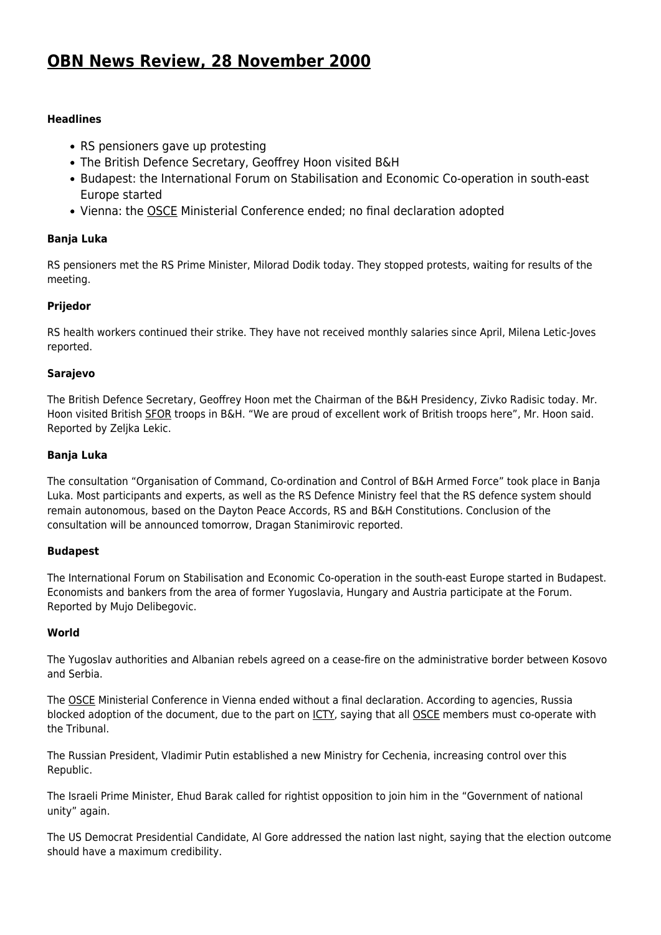# **[OBN News Review, 28 November 2000](http://www.ohr.int/ohr_archive/obn-news-review-28-november-2000-2/)**

# **Headlines**

- RS pensioners gave up protesting
- The British Defence Secretary, Geoffrey Hoon visited B&H
- Budapest: the International Forum on Stabilisation and Economic Co-operation in south-east Europe started
- Vienna: the **OSCE** Ministerial Conference ended; no final declaration adopted

## **Banja Luka**

RS pensioners met the RS Prime Minister, Milorad Dodik today. They stopped protests, waiting for results of the meeting.

## **Prijedor**

RS health workers continued their strike. They have not received monthly salaries since April, Milena Letic-Joves reported.

## **Sarajevo**

The British Defence Secretary, Geoffrey Hoon met the Chairman of the B&H Presidency, Zivko Radisic today. Mr. Hoon visited British [SFOR](http://www.nato.int/sfor/) troops in B&H. "We are proud of excellent work of British troops here", Mr. Hoon said. Reported by Zeljka Lekic.

## **Banja Luka**

The consultation "Organisation of Command, Co-ordination and Control of B&H Armed Force" took place in Banja Luka. Most participants and experts, as well as the RS Defence Ministry feel that the RS defence system should remain autonomous, based on the Dayton Peace Accords, RS and B&H Constitutions. Conclusion of the consultation will be announced tomorrow, Dragan Stanimirovic reported.

#### **Budapest**

The International Forum on Stabilisation and Economic Co-operation in the south-east Europe started in Budapest. Economists and bankers from the area of former Yugoslavia, Hungary and Austria participate at the Forum. Reported by Mujo Delibegovic.

#### **World**

The Yugoslav authorities and Albanian rebels agreed on a cease-fire on the administrative border between Kosovo and Serbia.

The [OSCE](http://www.osce.org) Ministerial Conference in Vienna ended without a final declaration. According to agencies, Russia blocked adoption of the document, due to the part on [ICTY](http://www.un.org/icty/), saying that all [OSCE](http://www.osce.org) members must co-operate with the Tribunal.

The Russian President, Vladimir Putin established a new Ministry for Cechenia, increasing control over this Republic.

The Israeli Prime Minister, Ehud Barak called for rightist opposition to join him in the "Government of national unity" again.

The US Democrat Presidential Candidate, Al Gore addressed the nation last night, saying that the election outcome should have a maximum credibility.